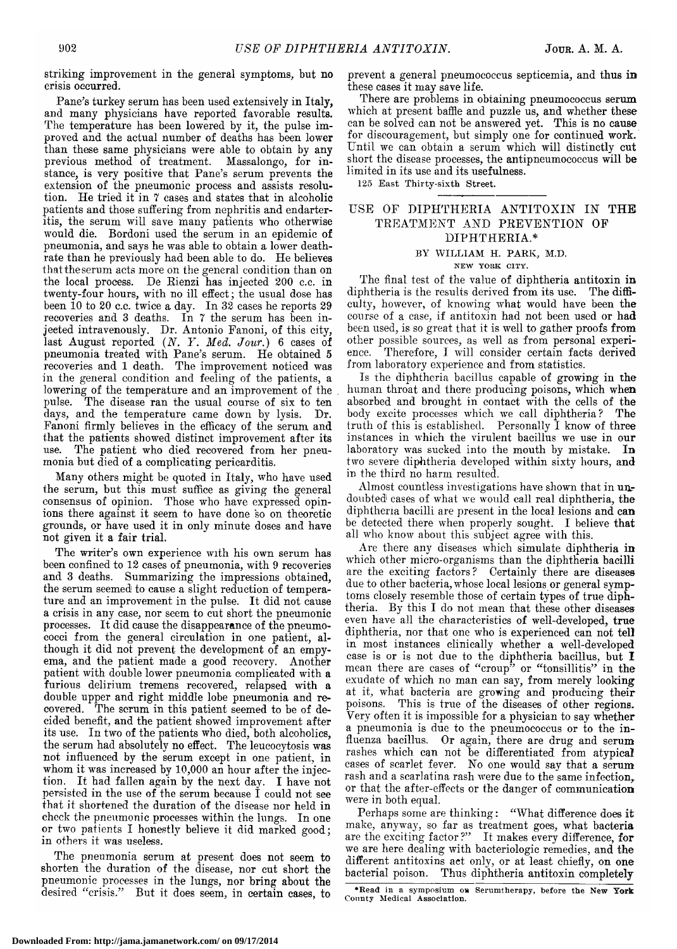striking improvement in the general symptoms, but no crisis occurred.

Pane's turkey serum has been used extensively in Italy, and many physicians have reported favorable results. The temperature has been lowered by it, the pulse improved and the actual number of deaths has been lower than these same physicians were able to obtain by any previous method of treatment. Massalongo, for instance, is very positive that Pane's serum prevents the extension of the pneumonic process and assists resolution. He tried it in <sup>7</sup> cases and states that in alcoholic patients and those suffering from nephritis and endarteritis, the serum will save many patients who otherwise would die. Bordoni used the serum in an epidemic of pneumonia, and says he was able to obtain <sup>a</sup> lower deathrate than he previously had been able to do. He believes that the serum acts more on the general condition than on the local process. De Rienzi has injected <sup>200</sup> c.c. in twenty-four hours, with no ill effect; the usual dose has been <sup>10</sup> to <sup>20</sup> c.c. twice <sup>a</sup> day. In <sup>32</sup> cases he reports <sup>29</sup> recoveries and <sup>3</sup> deaths. In <sup>7</sup> the serum has been injected intravenously. Dr. Antonio Fanoni, of this city, last August reported  $(N. Y. Med. Jour.)$  6 cases of pneumonia treated with Pane's serum. He obtained <sup>5</sup> recoveries and <sup>1</sup> death. The improvement noticed was in the general condition and feeling of the patients, <sup>a</sup> lowering of the temperature and an improvement of the pulse. The disease ran the usual course of six to ten days, and the temperature came down by lysis. Dr. days, and the temperature came down by lysis. Fanoni firmly believes in the efficacy of the serum and that the patients showed distinct improvement after its The patient who died recovered from her pneumonia but died of <sup>a</sup> complicating pericarditis.

Many others might be quoted in Italy, who have used the serum, but this must suffice as giving the general consensus of opinion. Those who have expressed opinions there against it seem to have done so on theoretic grounds, or have used it in only minute doses and have not given it <sup>a</sup> fair trial.

The writer's own experience with his own serum has been confined to 12 cases of pneumonia, with 9 recoveries and 3 deaths. Summarizing the impressions obtained, the serum seemed to cause a slight reduction of tempera-<br>ture and an improvement in the pulse. It did not cause <sup>a</sup> crisis in any case, nor seem to cut short the pneumonic processes. It did cause the disappearance of the pneumocoeci from the general circulation in one patient, although it did not prevent the development of an empyema, and the patient made <sup>a</sup> good recovery. Another patient with double lower pneumonia complicated with <sup>a</sup> furious delirium tremens recovered, relapsed with <sup>a</sup> double upper and right middle lobe pneumonia and re-<br>covered. The scrum in this patient seemed to be of de-The serum in this patient seemed to be of decided benefit, and the patient showed improvement after its use. In two of the patients who died, both alcoholics, the serum had absolutely no effect. The leucocytosis was not influenced by the serum except in one patient, in whom it was increased by 10,000 an hour after the injection. It had fallen again by the next day. I have not persisted in the use of the serum because I could not see that it shortened the duration of the disease nor held in check the pneumonic processes within the lungs. In one or two patients <sup>I</sup> honestly believe it did marked good; in others it was useless.

The pneumonia serum at present does not seem to shorten the duration of the disease, nor cut short the pneumonic processes in the lungs, nor bring about the desired "crisis." But it does seem, in certain cases, to prevent <sup>a</sup> general pneumococcus septicemia, and thus in these cases it may save life.

There are problems in obtaining pneumococcus serum which at present baffle and puzzle us, and whether these can be solved can not be answered yet. This is no cause for discouragement, but simply one for continued work. Until we can obtain <sup>a</sup> serum which will distinctly cut short the disease processes, the antipneumococcus will be limited in its use and its usefulness.

<sup>125</sup> East Thirty-sixth Street.

## USE OF DIPHTHERIA ANTITOXIN IN THE TREATMENT AND PREVENTION OF DIPHTHERIA.

## BY WILLIAM H. PARK, M.D.

## NEW YORK CITY.

The final test of the value of diphtheria antitoxin in diphtheria is the results derived from its use. The difficulty, however, of knowing what would have been the course of <sup>a</sup> case, if antitoxin had not been used or had been used, is so great that it is well to gather proofs from other possible sources, as well as from personal experi-<br>ence. Therefore, I will consider certain facts derived Therefore, I will consider certain facts derived from laboratory experience and from statistics.

Is the diphtheria bacillus capable of growing in the human throat and there producing poisons, which when absorbed and brought in contact with the cells of the body excite processes which we call diphtheria? The truth of this is established. Personally I know of three instances in which the virulent bacillus we use in our laboratory was sucked into the mouth by mistake. In two severe diphtheria developed within sixty hours, and in the third no harm resulted.

Almost countless investigations have shown that in undoubted cases of what we would call real diphtheria, the diphtheria bacilli are present in the local lesions and can be detected there when properly sought. I believe that all who know about this subject agree with this.

Are there any diseases which simulate diphtheria in which other micro-organisms than the diphtheria bacilli are the exciting factors? Certainly there are diseases due to other bacteria, whose local lesions or general symptoms closely resemble those of certain types of true diphtheria. By this I do not mean that these other diseases even have all the characteristics of well-developed, true diphtheria, nor that one who is experienced can not tell in most instances clinically whether <sup>a</sup> well-developed ease is or is not due to the diphtheria bacillus, but I mean there are cases of "croup" or "tonsillitis" in the exudate of which no man can say, from merely looking at it, what bacteria are growing and producing their poisons. This is true of the diseases of other regions. Very often it is impossible for <sup>a</sup> physician to say whether <sup>a</sup> pneumonia is due to the pneumococcus or to the influenza bacillus. Or again, there are drug and serum rashes which can not be differentiated from atypical cases of scarlet fever. No one would say that a serum rash and <sup>a</sup> scarlatina rash were due to the same infection, or that the after-effects or the danger of communication were in both equal.

Perhaps some are thinking: "What difference does it make, anyway, so far as treatment goes, what bacteria are the exciting factor ?" It makes every difference, for we are here dealing with bacteriologic remedies, and the different antitoxins act only, or at least chiefly, on one bacterial poison. Thus diphtheria antitoxin completely

<sup>\*</sup>Read in a symposium on Serumtherapy, before the New York County Medical Association.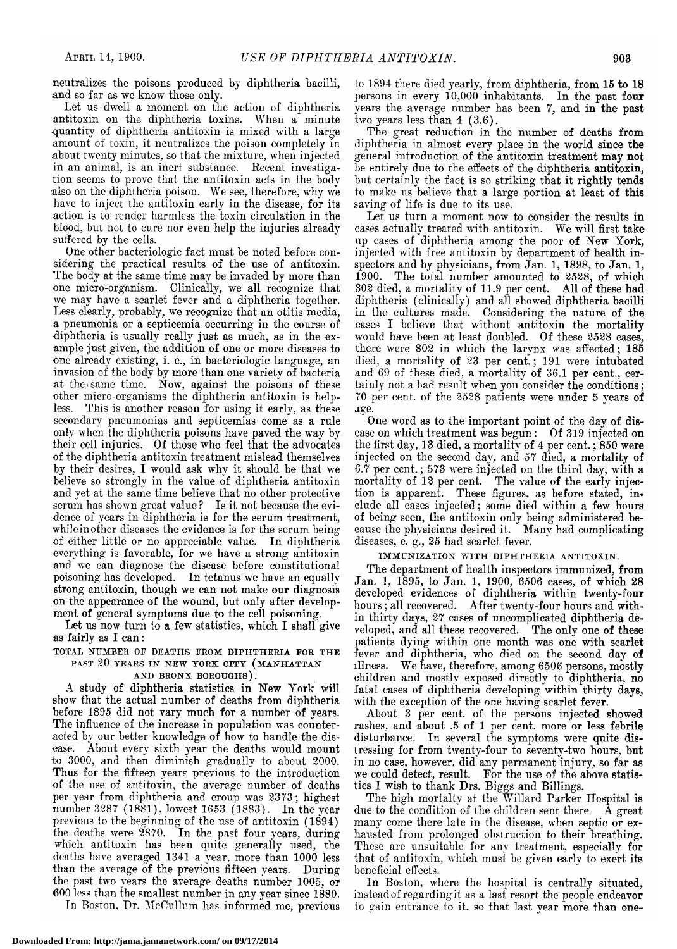neutralizes the poisons produced by diphtheria bacilli, and so far as we know those only.

Let us dwell <sup>a</sup> moment on the action of diphtheria antitoxin on the diphtheria toxins. When <sup>a</sup> minute quantity of diphtheria antitoxin is mixed with <sup>a</sup> large amount of toxin, it neutralizes the poison completely in about twenty minutes, so that the mixture, when injected in an animal, is an inert substance. Recent investigation seems to prove that the antitoxin acts in the body also on the diphtheria poison. We see, therefore, why we have to inject the antitoxin early in the disease, for its action is to render harmless the toxin circulation in the blood, but not to cure nor even help the injuries already suffered by the cells.

One other bacteriologic fact must be noted before considering the practical results of the use of antitoxin. The body at the same time may be invaded by more than one micro-organism. Clinically, we all recognize that Less clearly, probably, we recognize that an otitis media, a pneumonia or <sup>a</sup> septicemia occurring in the course of diphtheria is usually really just as much, as in the example just given, the addition of one or more diseases to one already existing, i. e., in bacteriologic language, an invasion of the body by more than one variety of bacteria at the same time. Now, against the poisons of these other micro-organisms the diphtheria antitoxin is helpless. This is another reason for using it early, as these secondary pneumonias and septicemias come as <sup>a</sup> rule only when the diphtheria poisons have paved the way by their cell injuries. Of those who feel that the advocates of the diphtheria antitoxin treatment mislead themselves by their desires, I would ask why it should be that we believe so strongly in the value of diphtheria antitoxin and yet at the same time believe that no other protective serum has shown great value? Is it not because the evidence of years in diphtheria is for the serum treatment, while in other diseases the evidence is for the serum being of either little or no appreciable value. In diphtheria everything is favorable, for we have <sup>a</sup> strong antitoxin and we can diagnose the disease before constitutional poisoning has developed. In tetanus we have an equally strong antitoxin, though we can not make our diagnosis on the appearance of the wound, but only after develop-<br>ment of general symptoms due to the cell poisoning.

Let us now turn to a few statistics, which I shall give as fairly as I can:

TOTAL NUMBER OF DEATHS FROM DIPHTHERIA FOR THE PAST <sup>20</sup> YEARS IN NEW YORK CITY (MANHATTAN

AND BRONX BOROUGHS) .

A study of diphtheria statistics in New York will show that the actual number of deaths from diphtheria before <sup>1895</sup> did not vary much for <sup>a</sup> number of years. The influence of the increase in population was counteracted by our better knowledge of how to handle the dis-About every sixth year the deaths would mount to 3000, and then diminish gradually to about 2000. Thus for the fifteen years previous to the introduction of the use of antitoxin, the average number of deaths per year from diphtheria and croup was 2373; highest number 3287 (1881), lowest 1653 (1883). In the year previous to the beginning of the use of antitoxin (1894) the deaths were 2870. In the past four years, during which antitoxin has been quite generally used, the deaths have averaged 1341 <sup>a</sup> year, more than 1000 less than the average of the previous fifteen years. During the past two years the average deaths number 1005, or <sup>600</sup> less than the smallest number in any year since 1880.

Tn Boston, Dr. McCullum has informed me, previous

to <sup>1894</sup> there died yearly, from diphtheria, from <sup>15</sup> to <sup>18</sup> persons in every 10,000 inhabitants. In the past four years the average number has been  $\frac{7}{7}$ , and in the past two years less than  $4 \left( 3.6 \right)$ .

The great reduction in the number of deaths from diphtheria in almost every place in the world since the general introduction of the antitoxin treatment may not be entirely due to the effects of the diphtheria antitoxin, but certainly the fact is so striking that it rightly tends to make us believe that <sup>a</sup> large portion at least of this saving of life is due to its use.

Let us turn <sup>a</sup> moment now to consider the results in cases actually treated with antitoxin. We will first take up cases of diphtheria among the poor of New York, injected with free antitoxin by department of health inspectors and by physicians, from  $\tilde{J}$ an. 1, 1898, to Jan. 1, 1900. The total number amounted to 2528, of which The total number amounted to 2528, of which <sup>302</sup> died, <sup>a</sup> mortality of 11.9 per cent. All of these had diphtheria (clinically) and all showed diphtheria bacilli in the cultures made. Considering the nature of the cases I believe that without antitoxin the mortality would have been at least doubled. Of these 2528 cases, there were <sup>802</sup> in which the larynx was affected; <sup>185</sup> died, <sup>a</sup> mortality of <sup>23</sup> per cent.; <sup>191</sup> were intubated and <sup>69</sup> of these died, <sup>a</sup> mortality of 36.1 per cent., certainly not <sup>a</sup> bad result when you consider the conditions; <sup>70</sup> per cent, of the 2528 patients were under <sup>5</sup> years of age.

One word as to the important point of the day of disease on which treatment was begun: Of <sup>319</sup> injected on the first day, <sup>13</sup> died, <sup>a</sup> mortality of <sup>4</sup> per cent.; <sup>850</sup> were injected on the second day, and <sup>57</sup> died, <sup>a</sup> mortality of 6.7 per cent.; <sup>573</sup> were injected on the third day, with <sup>a</sup> mortality of 12 per cent. The value of the early injection is apparent. These figures, as before stated, inelude all cases injected; some died within <sup>a</sup> few hours of being seen, the antitoxin only being administered because the physicians desired it. Many had complicating diseases, e. g., <sup>25</sup> had scarlet fever.

IMMUNIZATION WITH DIPHTHERIA ANTITOXIN.

The department of health inspectors immunized, from Jan. 1, 1895, to Jan. 1, 1900, 6506 cases, of which 28 developed evidences of diphtheria within twenty-four hours; all recovered. After twenty-four hours and within thirty days, <sup>27</sup> cases of uncomplicated diphtheria developed, and all these recovered. The only one of these patients dying within one month was one with scarlet fever and diphtheria, who died on the second day of illness. We have, therefore, among 6506 persons, mostly children and mostly exposed directly to diphtheria, no fatal cases of diphtheria developing within thirty days, with the exception of the one having scarlet fever.

About <sup>3</sup> per cent, of the persons injected showed rashes, and about .5 of <sup>1</sup> per cent, more or less febrile disturbance. In several the symptoms were quite distressing for from twenty-four to seventy-two hours, but in no case, however, did any permanent injury, so far as we could detect, result. For the use of the above statistics I wish to thank Drs. Biggs and Billings.

The high mortalty at the Willard Parker Hospital is due to the condition of the children sent there.  $\tilde{A}$  great many come there late in the disease, when septic or exhausted from prolonged obstruction to their breathing. These are unsuitable for any treatment, especially for that of antitoxin, which must be given early to exert its beneficial effects.

In Boston, where the hospital is centrally situated, insteadofregardingit as <sup>a</sup> last resort the people endeavor to gain entrance to it. so that last year more than one